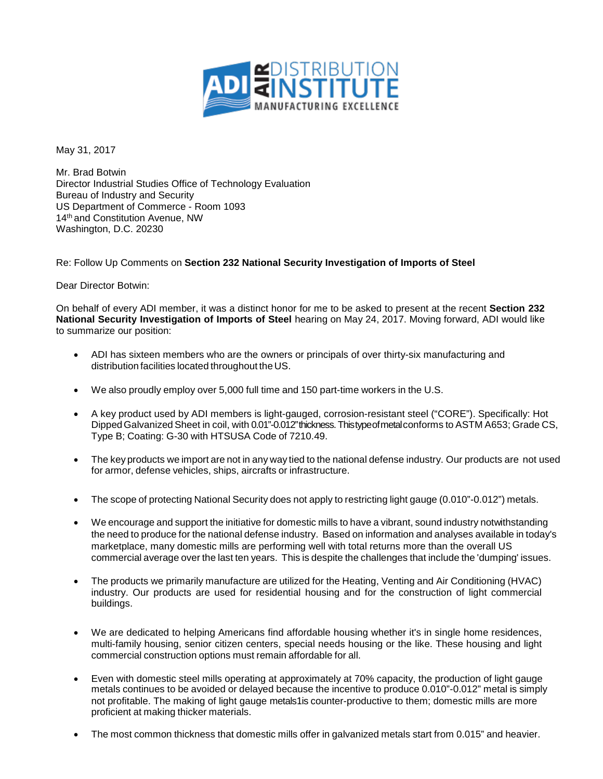

May 31, 2017

Mr. Brad Botwin Director Industrial Studies Office of Technology Evaluation Bureau of Industry and Security US Department of Commerce - Room 1093 14<sup>th</sup> and Constitution Avenue, NW Washington, D.C. 20230

Re: Follow Up Comments on **Section 232 National Security Investigation of Imports of Steel**

Dear Director Botwin:

On behalf of every ADI member, it was a distinct honor for me to be asked to present at the recent **Section 232 National Security Investigation of Imports of Steel** hearing on May 24, 2017. Moving forward, ADI would like to summarize our position:

- ADI has sixteen members who are the owners or principals of over thirty-six manufacturing and distribution facilities located throughout the US.
- We also proudly employ over 5,000 full time and 150 part-time workers in the U.S.
- A key product used by ADI members is light-gauged, corrosion-resistant steel ("CORE"). Specifically: Hot DippedGalvanized Sheet in coil, with 0.01"-0.012"thickness. Thistypeofmetalconforms to ASTM A653; Grade CS, Type B; Coating: G-30 with HTSUSA Code of 7210.49.
- The keyproducts we import are not in any way tied to the national defense industry. Our products are not used for armor, defense vehicles, ships, aircrafts or infrastructure.
- The scope of protecting National Security does not apply to restricting light gauge (0.010"-0.012") metals.
- We encourage and support the initiative for domestic mills to have a vibrant, sound industry notwithstanding the need to produce for the national defense industry. Based on information and analyses available in today's marketplace, many domestic mills are performing well with total returns more than the overall US commercial average over the last ten years. This is despite the challenges that include the 'dumping' issues.
- The products we primarily manufacture are utilized for the Heating, Venting and Air Conditioning (HVAC) industry. Our products are used for residential housing and for the construction of light commercial buildings.
- We are dedicated to helping Americans find affordable housing whether it's in single home residences, multi-family housing, senior citizen centers, special needs housing or the like. These housing and light commercial construction options must remain affordable for all.
- Even with domestic steel mills operating at approximately at 70% capacity, the production of light gauge metals continues to be avoided or delayed because the incentive to produce 0.010"-0.012" metal is simply not profitable. The making of light gauge metals1is counter-productive to them; domestic mills are more proficient at making thicker materials.
- The most common thickness that domestic mills offer in galvanized metals start from 0.015" and heavier.